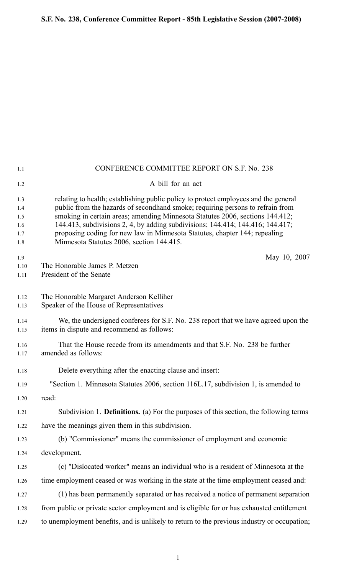| 1.1                                    | CONFERENCE COMMITTEE REPORT ON S.F. No. 238                                                                                                                                                                                                                                                                                                                                                                                                                         |
|----------------------------------------|---------------------------------------------------------------------------------------------------------------------------------------------------------------------------------------------------------------------------------------------------------------------------------------------------------------------------------------------------------------------------------------------------------------------------------------------------------------------|
| 1.2                                    | A bill for an act                                                                                                                                                                                                                                                                                                                                                                                                                                                   |
| 1.3<br>1.4<br>1.5<br>1.6<br>1.7<br>1.8 | relating to health; establishing public policy to protect employees and the general<br>public from the hazards of secondhand smoke; requiring persons to refrain from<br>smoking in certain areas; amending Minnesota Statutes 2006, sections 144.412;<br>144.413, subdivisions 2, 4, by adding subdivisions; 144.414; 144.416; 144.417;<br>proposing coding for new law in Minnesota Statutes, chapter 144; repealing<br>Minnesota Statutes 2006, section 144.415. |
| 1.9<br>1.10<br>1.11                    | May 10, 2007<br>The Honorable James P. Metzen<br>President of the Senate                                                                                                                                                                                                                                                                                                                                                                                            |
| 1.12<br>1.13                           | The Honorable Margaret Anderson Kelliher<br>Speaker of the House of Representatives                                                                                                                                                                                                                                                                                                                                                                                 |
| 1.14<br>1.15                           | We, the undersigned conferees for S.F. No. 238 report that we have agreed upon the<br>items in dispute and recommend as follows:                                                                                                                                                                                                                                                                                                                                    |
| 1.16<br>1.17                           | That the House recede from its amendments and that S.F. No. 238 be further<br>amended as follows:                                                                                                                                                                                                                                                                                                                                                                   |
| 1.18                                   | Delete everything after the enacting clause and insert:                                                                                                                                                                                                                                                                                                                                                                                                             |
| 1.19                                   | "Section 1. Minnesota Statutes 2006, section 116L.17, subdivision 1, is amended to                                                                                                                                                                                                                                                                                                                                                                                  |
| 1.20                                   | read:                                                                                                                                                                                                                                                                                                                                                                                                                                                               |
| 1.21                                   | Subdivision 1. <b>Definitions.</b> (a) For the purposes of this section, the following terms                                                                                                                                                                                                                                                                                                                                                                        |
| 1.22                                   | have the meanings given them in this subdivision.                                                                                                                                                                                                                                                                                                                                                                                                                   |
| 1.23                                   | (b) "Commissioner" means the commissioner of employment and economic                                                                                                                                                                                                                                                                                                                                                                                                |
| 1.24                                   | development.                                                                                                                                                                                                                                                                                                                                                                                                                                                        |
| 1.25                                   | (c) "Dislocated worker" means an individual who is a resident of Minnesota at the                                                                                                                                                                                                                                                                                                                                                                                   |
| 1.26                                   | time employment ceased or was working in the state at the time employment ceased and:                                                                                                                                                                                                                                                                                                                                                                               |
| 1.27                                   | (1) has been permanently separated or has received a notice of permanent separation                                                                                                                                                                                                                                                                                                                                                                                 |
| 1.28                                   | from public or private sector employment and is eligible for or has exhausted entitlement                                                                                                                                                                                                                                                                                                                                                                           |
| 1.29                                   | to unemployment benefits, and is unlikely to return to the previous industry or occupation;                                                                                                                                                                                                                                                                                                                                                                         |

1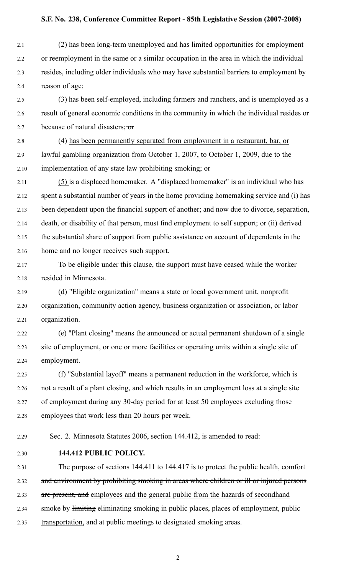2.1 (2) has been long-term unemployed and has limited opportunities for employment 2.2 or reemployment in the same or <sup>a</sup> similar occupation in the area in which the individual 2.3 resides, including older individuals who may have substantial barriers to employment by 2.4 reason of age;

2.5 (3) has been self-employed, including farmers and ranchers, and is unemployed as a 2.6 result of general economic conditions in the community in which the individual resides or 2.7 because of natural disasters;  $\sigma$ 

2.8 (4) has been permanently separated from employment in <sup>a</sup> restaurant, bar, or 2.9 lawful gambling organization from October 1, 2007, to October 1, 2009, due to the 2.10 implementation of any state law prohibiting smoking; or

2.11 (5) is <sup>a</sup> displaced homemaker. A "displaced homemaker" is an individual who has 2.12 spen<sup>t</sup> <sup>a</sup> substantial number of years in the home providing homemaking service and (i) has 2.13 been dependent upon the financial suppor<sup>t</sup> of another; and now due to divorce, separation, 2.14 death, or disability of that person, must find employment to self support; or (ii) derived 2.15 the substantial share of suppor<sup>t</sup> from public assistance on account of dependents in the 2.16 home and no longer receives such support.

2.17 To be eligible under this clause, the suppor<sup>t</sup> must have ceased while the worker 2.18 resided in Minnesota.

2.19 (d) "Eligible organization" means <sup>a</sup> state or local governmen<sup>t</sup> unit, nonprofit 2.20 organization, community action agency, business organization or association, or labor 2.21 organization.

2.22 (e) "Plant closing" means the announced or actual permanen<sup>t</sup> shutdown of <sup>a</sup> single 2.23 site of employment, or one or more facilities or operating units within <sup>a</sup> single site of 2.24 employment.

2.25 (f) "Substantial layoff" means <sup>a</sup> permanen<sup>t</sup> reduction in the workforce, which is 2.26 not <sup>a</sup> result of <sup>a</sup> plant closing, and which results in an employment loss at <sup>a</sup> single site 2.27 of employment during any 30-day period for at least 50 employees excluding those 2.28 employees that work less than 20 hours per week.

2.29 Sec. 2. Minnesota Statutes 2006, section 144.412, is amended to read:

2.30 **144.412 PUBLIC POLICY.**

2.31 The purpose of sections 144.411 to 144.417 is to protect the public health, comfort

2.32 and environment by prohibiting smoking in areas where children or ill or injured persons

2.33 are present, and employees and the general public from the hazards of secondhand

2.34 smoke by limiting eliminating smoking in public places, places of employment, public

2.35 transportation, and at public meetings to designated smoking areas.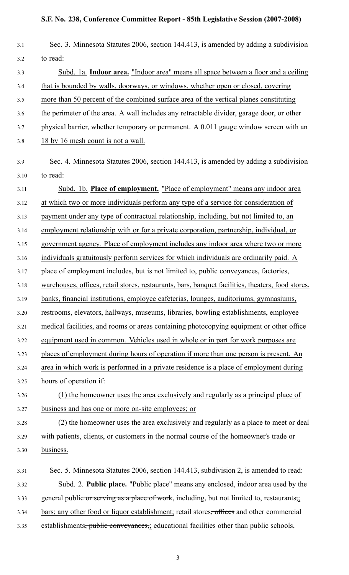| 3.1  | Sec. 3. Minnesota Statutes 2006, section 144.413, is amended by adding a subdivision              |
|------|---------------------------------------------------------------------------------------------------|
| 3.2  | to read:                                                                                          |
| 3.3  | Subd. 1a. Indoor area. "Indoor area" means all space between a floor and a ceiling                |
| 3.4  | that is bounded by walls, doorways, or windows, whether open or closed, covering                  |
| 3.5  | more than 50 percent of the combined surface area of the vertical planes constituting             |
| 3.6  | the perimeter of the area. A wall includes any retractable divider, garage door, or other         |
| 3.7  | physical barrier, whether temporary or permanent. A 0.011 gauge window screen with an             |
| 3.8  | 18 by 16 mesh count is not a wall.                                                                |
| 3.9  | Sec. 4. Minnesota Statutes 2006, section 144.413, is amended by adding a subdivision              |
| 3.10 | to read:                                                                                          |
| 3.11 | Subd. 1b. Place of employment. "Place of employment" means any indoor area                        |
| 3.12 | at which two or more individuals perform any type of a service for consideration of               |
| 3.13 | payment under any type of contractual relationship, including, but not limited to, an             |
| 3.14 | employment relationship with or for a private corporation, partnership, individual, or            |
| 3.15 | government agency. Place of employment includes any indoor area where two or more                 |
| 3.16 | individuals gratuitously perform services for which individuals are ordinarily paid. A            |
| 3.17 | place of employment includes, but is not limited to, public conveyances, factories,               |
| 3.18 | warehouses, offices, retail stores, restaurants, bars, banquet facilities, theaters, food stores, |
| 3.19 | banks, financial institutions, employee cafeterias, lounges, auditoriums, gymnasiums,             |
| 3.20 | restrooms, elevators, hallways, museums, libraries, bowling establishments, employee              |
| 3.21 | medical facilities, and rooms or areas containing photocopying equipment or other office          |
| 3.22 | equipment used in common. Vehicles used in whole or in part for work purposes are                 |
| 3.23 | places of employment during hours of operation if more than one person is present. An             |
| 3.24 | area in which work is performed in a private residence is a place of employment during            |
| 3.25 | hours of operation if:                                                                            |
| 3.26 | (1) the homeowner uses the area exclusively and regularly as a principal place of                 |
| 3.27 | business and has one or more on-site employees; or                                                |
| 3.28 | (2) the homeowner uses the area exclusively and regularly as a place to meet or deal              |
| 3.29 | with patients, clients, or customers in the normal course of the homeowner's trade or             |
| 3.30 | business.                                                                                         |
| 3.31 | Sec. 5. Minnesota Statutes 2006, section 144.413, subdivision 2, is amended to read:              |
| 3.32 | Subd. 2. Public place. "Public place" means any enclosed, indoor area used by the                 |
| 3.33 | general public or serving as a place of work, including, but not limited to, restaurants,         |
| 3.34 | bars; any other food or liquor establishment; retail stores, offices and other commercial         |
| 3.35 | establishments, public conveyances, educational facilities other than public schools,             |

3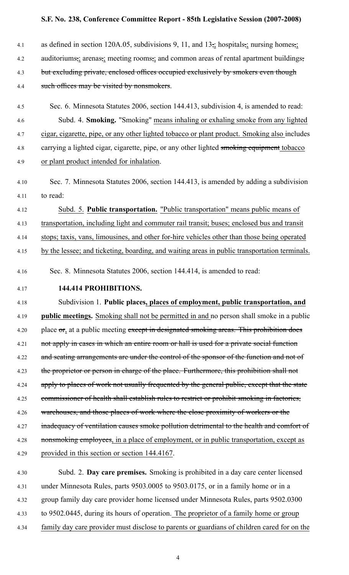| 4.1  | as defined in section 120A.05, subdivisions 9, 11, and $13\frac{1}{2}$ hospitals, nursing homes,                                       |
|------|----------------------------------------------------------------------------------------------------------------------------------------|
| 4.2  | auditoriums <sub>72</sub> arenas <sub>72</sub> meeting rooms <sub>72</sub> and common areas of rental apartment buildings <sub>7</sub> |
| 4.3  | but excluding private, enclosed offices occupied exclusively by smokers even though                                                    |
| 4.4  | such offices may be visited by nonsmokers.                                                                                             |
|      |                                                                                                                                        |
| 4.5  | Sec. 6. Minnesota Statutes 2006, section 144.413, subdivision 4, is amended to read:                                                   |
| 4.6  | Subd. 4. Smoking. "Smoking" means inhaling or exhaling smoke from any lighted                                                          |
| 4.7  | cigar, cigarette, pipe, or any other lighted tobacco or plant product. Smoking also includes                                           |
| 4.8  | carrying a lighted cigar, cigarette, pipe, or any other lighted smoking equipment tobacco                                              |
| 4.9  | or plant product intended for inhalation.                                                                                              |
| 4.10 | Sec. 7. Minnesota Statutes 2006, section 144.413, is amended by adding a subdivision                                                   |
| 4.11 | to read:                                                                                                                               |
| 4.12 | Subd. 5. Public transportation. "Public transportation" means public means of                                                          |
| 4.13 | transportation, including light and commuter rail transit; buses; enclosed bus and transit                                             |
| 4.14 | stops; taxis, vans, limousines, and other for-hire vehicles other than those being operated                                            |
| 4.15 | by the lessee; and ticketing, boarding, and waiting areas in public transportation terminals.                                          |
| 4.16 | Sec. 8. Minnesota Statutes 2006, section 144.414, is amended to read:                                                                  |
| 4.17 | 144.414 PROHIBITIONS.                                                                                                                  |
| 4.18 | Subdivision 1. Public places, places of employment, public transportation, and                                                         |
| 4.19 | public meetings. Smoking shall not be permitted in and no person shall smoke in a public                                               |
| 4.20 | place or, at a public meeting except in designated smoking areas. This prohibition does                                                |
| 4.21 | not apply in cases in which an entire room or hall is used for a private social function                                               |
| 4.22 | and seating arrangements are under the control of the sponsor of the function and not of                                               |
| 4.23 | the proprietor or person in charge of the place. Furthermore, this prohibition shall not                                               |
| 4.24 | apply to places of work not usually frequented by the general public, except that the state                                            |
| 4.25 | commissioner of health shall establish rules to restrict or prohibit smoking in factories,                                             |
| 4.26 | warehouses, and those places of work where the close proximity of workers or the                                                       |
| 4.27 | inadequacy of ventilation causes smoke pollution detrimental to the health and comfort of                                              |
| 4.28 | nonsmoking employees, in a place of employment, or in public transportation, except as                                                 |
| 4.29 | provided in this section or section 144.4167.                                                                                          |
| 4.30 | Subd. 2. Day care premises. Smoking is prohibited in a day care center licensed                                                        |
|      |                                                                                                                                        |
| 4.31 | under Minnesota Rules, parts 9503.0005 to 9503.0175, or in a family home or in a                                                       |

4.32 group family day care provider home licensed under Minnesota Rules, parts 9502.0300

- 4.33 to 9502.0445, during its hours of operation. The proprietor of <sup>a</sup> family home or group
- 4.34 family day care provider must disclose to parents or guardians of children cared for on the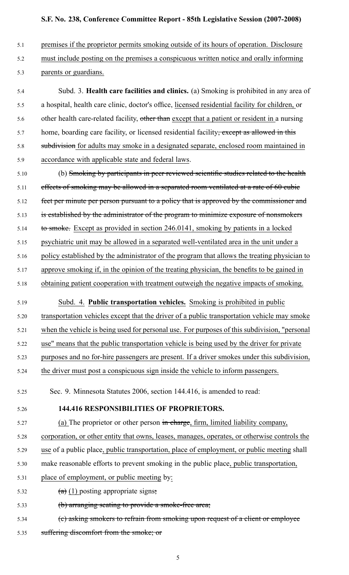- 5.1 premises if the proprietor permits smoking outside of its hours of operation. Disclosure
- 5.2 must include posting on the premises <sup>a</sup> conspicuous written notice and orally informing
- 5.3 parents or guardians.

5.4 Subd. 3. **Health care facilities and clinics.** (a) Smoking is prohibited in any area of 5.5 <sup>a</sup> hospital, health care clinic, doctor's office, licensed residential facility for children, or 5.6 other health care-related facility, other than except that a patient or resident in a nursing 5.7 home, boarding care facility, or licensed residential facility<del>, except as allowed in this</del> 5.8 subdivision for adults may smoke in a designated separate, enclosed room maintained in 5.9 accordance with applicable state and federal laws.

- 5.10 (b) Smoking by participants in peer reviewed scientific studies related to the health 5.11 effects of smoking may be allowed in a separated room ventilated at a rate of 60 cubic 5.12 feet per minute per person pursuant to a policy that is approved by the commissioner and 5.13 is established by the administrator of the program to minimize exposure of nonsmokers 5.14 to smoke. Except as provided in section 246.0141, smoking by patients in a locked 5.15 psychiatric unit may be allowed in a separated well-ventilated area in the unit under a 5.16 policy established by the administrator of the program that allows the treating physician to
- 5.17 approve smoking if, in the opinion of the treating physician, the benefits to be gained in 5.18 obtaining patient cooperation with treatment outweigh the negative impacts of smoking.
- 5.19 Subd. 4. **Public transportation vehicles.** Smoking is prohibited in public

5.20 transportation vehicles except that the driver of a public transportation vehicle may smoke

5.21 when the vehicle is being used for personal use. For purposes of this subdivision, "personal

5.22 use" means that the public transportation vehicle is being used by the driver for private

5.23 purposes and no for-hire passengers are present. If a driver smokes under this subdivision,

5.24 the driver must pos<sup>t</sup> <sup>a</sup> conspicuous sign inside the vehicle to inform passengers.

5.25 Sec. 9. Minnesota Statutes 2006, section 144.416, is amended to read:

5.26 **144.416 RESPONSIBILITIES OF PROPRIETORS.**

5.27 (a) The proprietor or other person in charge, firm, limited liability company,

5.28 corporation, or other entity that owns, leases, manages, operates, or otherwise controls the

5.29 use of <sup>a</sup> public place, public transportation, place of employment, or public meeting shall

5.30 make reasonable efforts to preven<sup>t</sup> smoking in the public place, public transportation,

- 5.31 place of employment, or public meeting by:
- 5.32  $(a)$  (1) posting appropriate signs;
- 5.33 (b) arranging seating to provide a smoke-free area;
- 5.34 (c) asking smokers to refrain from smoking upon reques<sup>t</sup> of <sup>a</sup> client or employee 5.35 suffering discomfort from the smoke; or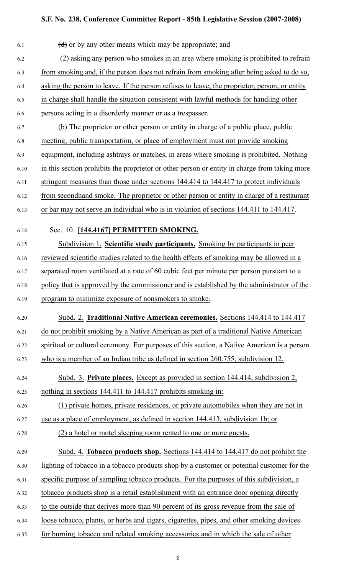| 6.1  | $\left(\frac{d}{d}\right)$ or by any other means which may be appropriate; and                |
|------|-----------------------------------------------------------------------------------------------|
| 6.2  | (2) asking any person who smokes in an area where smoking is prohibited to refrain            |
| 6.3  | from smoking and, if the person does not refrain from smoking after being asked to do so,     |
| 6.4  | asking the person to leave. If the person refuses to leave, the proprietor, person, or entity |
| 6.5  | in charge shall handle the situation consistent with lawful methods for handling other        |
| 6.6  | persons acting in a disorderly manner or as a trespasser.                                     |
| 6.7  | (b) The proprietor or other person or entity in charge of a public place, public              |
| 6.8  | meeting, public transportation, or place of employment must not provide smoking               |
| 6.9  | equipment, including ashtrays or matches, in areas where smoking is prohibited. Nothing       |
| 6.10 | in this section prohibits the proprietor or other person or entity in charge from taking more |
| 6.11 | stringent measures than those under sections 144.414 to 144.417 to protect individuals        |
| 6.12 | from secondhand smoke. The proprietor or other person or entity in charge of a restaurant     |
| 6.13 | or bar may not serve an individual who is in violation of sections 144.411 to 144.417.        |
| 6.14 | Sec. 10. [144.4167] PERMITTED SMOKING.                                                        |
| 6.15 | Subdivision 1. Scientific study participants. Smoking by participants in peer                 |
| 6.16 | reviewed scientific studies related to the health effects of smoking may be allowed in a      |
| 6.17 | separated room ventilated at a rate of 60 cubic feet per minute per person pursuant to a      |
| 6.18 | policy that is approved by the commissioner and is established by the administrator of the    |
| 6.19 | program to minimize exposure of nonsmokers to smoke.                                          |
| 6.20 | Subd. 2. Traditional Native American ceremonies. Sections 144.414 to 144.417                  |
| 6.21 | do not prohibit smoking by a Native American as part of a traditional Native American         |
| 6.22 | spiritual or cultural ceremony. For purposes of this section, a Native American is a person   |
| 6.23 | who is a member of an Indian tribe as defined in section 260.755, subdivision 12.             |
|      |                                                                                               |
| 6.24 | Subd. 3. Private places. Except as provided in section 144.414, subdivision 2,                |
| 6.25 | nothing in sections 144.411 to 144.417 prohibits smoking in:                                  |
| 6.26 | (1) private homes, private residences, or private automobiles when they are not in            |
| 6.27 | use as a place of employment, as defined in section 144.413, subdivision 1b; or               |
| 6.28 | (2) a hotel or motel sleeping room rented to one or more guests.                              |
| 6.29 | Subd. 4. Tobacco products shop. Sections 144.414 to 144.417 do not prohibit the               |
| 6.30 | lighting of tobacco in a tobacco products shop by a customer or potential customer for the    |
| 6.31 | specific purpose of sampling tobacco products. For the purposes of this subdivision, a        |
| 6.32 | tobacco products shop is a retail establishment with an entrance door opening directly        |
| 6.33 | to the outside that derives more than 90 percent of its gross revenue from the sale of        |
| 6.34 | loose tobacco, plants, or herbs and cigars, cigarettes, pipes, and other smoking devices      |
| 6.35 | for burning tobacco and related smoking accessories and in which the sale of other            |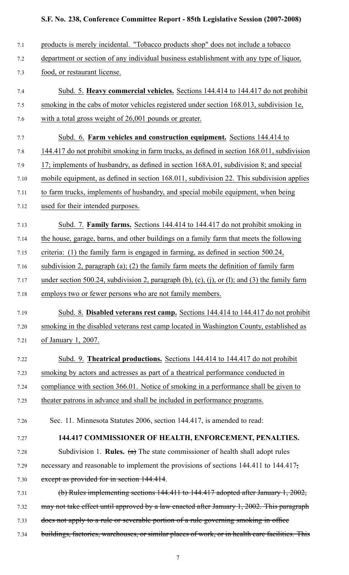| 7.1  | products is merely incidental. "Tobacco products shop" does not include a tobacco                           |
|------|-------------------------------------------------------------------------------------------------------------|
| 7.2  | department or section of any individual business establishment with any type of liquor,                     |
| 7.3  | food, or restaurant license.                                                                                |
| 7.4  | Subd. 5. Heavy commercial vehicles. Sections 144.414 to 144.417 do not prohibit                             |
| 7.5  | smoking in the cabs of motor vehicles registered under section 168.013, subdivision 1e,                     |
| 7.6  | with a total gross weight of 26,001 pounds or greater.                                                      |
| 7.7  | Subd. 6. Farm vehicles and construction equipment. Sections 144.414 to                                      |
| 7.8  | 144.417 do not prohibit smoking in farm trucks, as defined in section 168.011, subdivision                  |
| 7.9  | 17; implements of husbandry, as defined in section 168A.01, subdivision 8; and special                      |
| 7.10 | mobile equipment, as defined in section 168.011, subdivision 22. This subdivision applies                   |
| 7.11 | to farm trucks, implements of husbandry, and special mobile equipment, when being                           |
| 7.12 | used for their intended purposes.                                                                           |
| 7.13 | Subd. 7. Family farms. Sections 144.414 to 144.417 do not prohibit smoking in                               |
| 7.14 | the house, garage, barns, and other buildings on a family farm that meets the following                     |
| 7.15 | criteria: (1) the family farm is engaged in farming, as defined in section $500.24$ ,                       |
| 7.16 | subdivision 2, paragraph $(a)$ ; $(2)$ the family farm meets the definition of family farm                  |
| 7.17 | under section 500.24, subdivision 2, paragraph $(b)$ , $(c)$ , $(i)$ , or $(l)$ ; and $(3)$ the family farm |
| 7.18 | employs two or fewer persons who are not family members.                                                    |
| 7.19 | Subd. 8. Disabled veterans rest camp. Sections 144.414 to 144.417 do not prohibit                           |
| 7.20 | smoking in the disabled veterans rest camp located in Washington County, established as                     |
| 7.21 | of January 1, 2007.                                                                                         |
| 7.22 | Subd. 9. Theatrical productions. Sections 144.414 to 144.417 do not prohibit                                |
| 7.23 | smoking by actors and actresses as part of a theatrical performance conducted in                            |
| 7.24 | compliance with section 366.01. Notice of smoking in a performance shall be given to                        |
| 7.25 | theater patrons in advance and shall be included in performance programs.                                   |
| 7.26 | Sec. 11. Minnesota Statutes 2006, section 144.417, is amended to read:                                      |
| 7.27 | 144.417 COMMISSIONER OF HEALTH, ENFORCEMENT, PENALTIES.                                                     |
| 7.28 | Subdivision 1. <b>Rules.</b> (a) The state commissioner of health shall adopt rules                         |
| 7.29 | necessary and reasonable to implement the provisions of sections 144.411 to 144.417,                        |
| 7.30 | except as provided for in section 144.414.                                                                  |
| 7.31 | (b) Rules implementing sections 144.411 to 144.417 adopted after January 1, 2002,                           |
| 7.32 | may not take effect until approved by a law enacted after January 1, 2002. This paragraph                   |
| 7.33 | does not apply to a rule or severable portion of a rule governing smoking in office                         |
| 7.34 | buildings, factories, warehouses, or similar places of work, or in health care facilities. This             |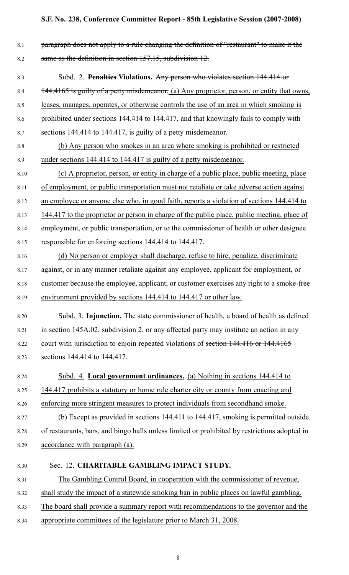8.1 **paragraph does not apply to a rule changing the definition of "restaurant" to make it the** 8.2 same as the definition in section 157.15, subdivision 12.

# 8.3 Subd. 2. **Penalties Violations.** Any person who violates section 144.414 or 8.4 144.4165 is guilty of a petty misdemeanor. (a) Any proprietor, person, or entity that owns, 8.5 leases, manages, operates, or otherwise controls the use of an area in which smoking is

8.6 prohibited under sections 144.414 to 144.417, and that knowingly fails to comply with

8.7 sections 144.414 to 144.417, is guilty of a petty misdemeanor.

- 8.8 (b) Any person who smokes in an area where smoking is prohibited or restricted 8.9 under sections 144.414 to 144.417 is guilty of <sup>a</sup> petty misdemeanor.
- 8.10 (c) A proprietor, person, or entity in charge of <sup>a</sup> public place, public meeting, place 8.11 of employment, or public transportation must not retaliate or take adverse action against 8.12 an employee or anyone else who, in good faith, reports <sup>a</sup> violation of sections 144.414 to 8.13 144.417 to the proprietor or person in charge of the public place, public meeting, place of 8.14 employment, or public transportation, or to the commissioner of health or other designee 8.15 responsible for enforcing sections 144.414 to 144.417. 8.16 (d) No person or employer shall discharge, refuse to hire, penalize, discriminate
- 8.17 against, or in any manner retaliate against any employee, applicant for employment, or 8.18 customer because the employee, applicant, or customer exercises any right to a smoke-free

8.19 environment provided by sections 144.414 to 144.417 or other law.

- 8.20 Subd. 3. **Injunction.** The state commissioner of health, <sup>a</sup> board of health as defined 8.21 in section 145A.02, subdivision 2, or any affected party may institute an action in any 8.22 court with jurisdiction to enjoin repeated violations of section 144.416 or 144.4165 8.23 sections 144.414 to 144.417.
- 8.24 Subd. 4. **Local governmen<sup>t</sup> ordinances.** (a) Nothing in sections 144.414 to 8.25 144.417 prohibits a statutory or home rule charter city or county from enacting and 8.26 enforcing more stringent measures to protect individuals from secondhand smoke.
- 8.27 (b) Except as provided in sections 144.411 to 144.417, smoking is permitted outside 8.28 of restaurants, bars, and bingo halls unless limited or prohibited by restrictions adopted in 8.29 accordance with paragraph (a).
- 8.30 Sec. 12. **CHARITABLE GAMBLING IMPACT STUDY.**
- 8.31 The Gambling Control Board, in cooperation with the commissioner of revenue,
- 8.32 shall study the impact of <sup>a</sup> statewide smoking ban in public places on lawful gambling.
- 8.33 The board shall provide <sup>a</sup> summary repor<sup>t</sup> with recommendations to the governor and the
- 8.34 appropriate committees of the legislature prior to March 31, 2008.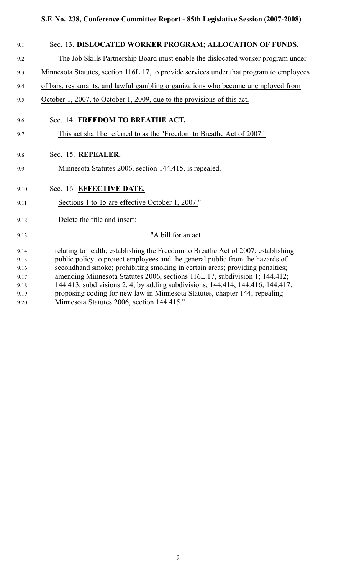| 9.1  | Sec. 13. DISLOCATED WORKER PROGRAM; ALLOCATION OF FUNDS.                                 |
|------|------------------------------------------------------------------------------------------|
| 9.2  | The Job Skills Partnership Board must enable the dislocated worker program under         |
| 9.3  | Minnesota Statutes, section 116L.17, to provide services under that program to employees |
| 9.4  | of bars, restaurants, and lawful gambling organizations who become unemployed from       |
| 9.5  | October 1, 2007, to October 1, 2009, due to the provisions of this act.                  |
| 9.6  | Sec. 14. FREEDOM TO BREATHE ACT.                                                         |
| 9.7  | This act shall be referred to as the "Freedom to Breathe Act of 2007."                   |
| 9.8  | Sec. 15. REPEALER.                                                                       |
| 9.9  | Minnesota Statutes 2006, section 144.415, is repealed.                                   |
| 9.10 | Sec. 16. EFFECTIVE DATE.                                                                 |
| 9.11 | Sections 1 to 15 are effective October 1, 2007."                                         |
| 9.12 | Delete the title and insert:                                                             |
| 9.13 | "A bill for an act                                                                       |
| 9.14 | relating to health; establishing the Freedom to Breathe Act of 2007; establishing        |
| 9.15 | public policy to protect employees and the general public from the hazards of            |
| 9.16 | secondhand smoke; prohibiting smoking in certain areas; providing penalties;             |
| 9.17 | amending Minnesota Statutes 2006, sections 116L.17, subdivision 1; 144.412;              |
| 9.18 | 144.413, subdivisions 2, 4, by adding subdivisions; 144.414; 144.416; 144.417;           |
| 9.19 | proposing coding for new law in Minnesota Statutes, chapter 144; repealing               |
| 9.20 | Minnesota Statutes 2006, section 144.415."                                               |